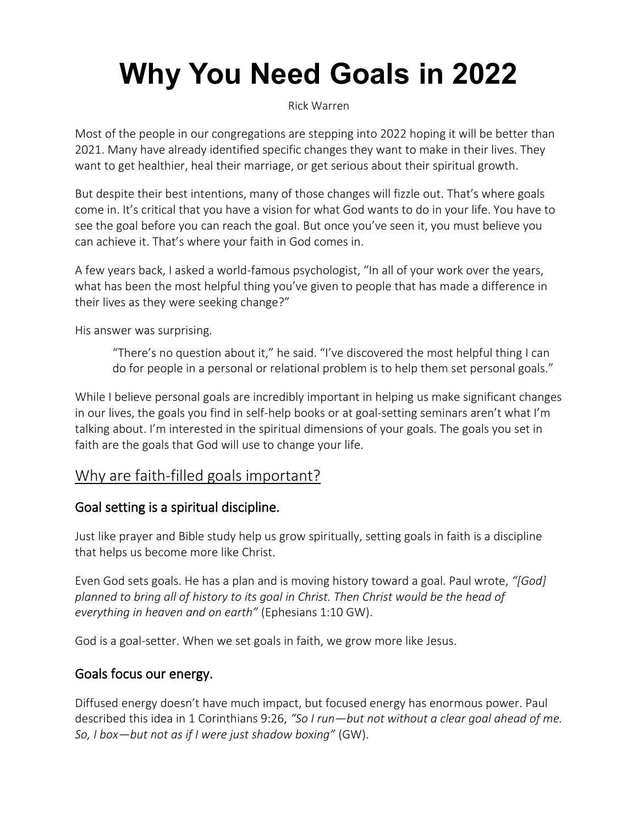# **Why You Need Goals in 2022**

[Rick Warren](https://pastors.com/author/rickwarren/)

Most of the people in our congregations are stepping into 2022 hoping it will be better than 2021. Many have already identified specific changes they want to make in their lives. They want to get healthier, heal their marriage, or get serious about their spiritual growth.

But despite their best intentions, many of those changes will fizzle out. That's where goals come in. It's critical that you have a vision for what God wants to do in your life. You have to see the goal before you can reach the goal. But once you've seen it, you must believe you can achieve it. That's where your faith in God comes in.

A few years back, I asked a world-famous psychologist, "In all of your work over the years, what has been the most helpful thing you've given to people that has made a difference in their lives as they were seeking change?"

His answer was surprising.

"There's no question about it," he said. "I've discovered the most helpful thing I can do for people in a personal or relational problem is to help them set personal goals."

While I believe personal goals are incredibly important in helping us make significant changes in our lives, the goals you find in self-help books or at goal-setting seminars aren't what I'm talking about. I'm interested in the spiritual dimensions of your goals. The goals you set in faith are the goals that God will use to change your life.

# Why are faith-filled goals important?

## Goal setting is a spiritual discipline.

Just like prayer and Bible study help us grow spiritually, setting goals in faith is a discipline that helps us become more like Christ.

Even God sets goals. He has a plan and is moving history toward a goal. Paul wrote, *"[God] planned to bring all of history to its goal in Christ. Then Christ would be the head of everything in heaven and on earth"* (Ephesians 1:10 GW).

God is a goal-setter. When we set goals in faith, we grow more like Jesus.

#### Goals focus our energy.

Diffused energy doesn't have much impact, but focused energy has enormous power. Paul described this idea in 1 Corinthians 9:26, *"So I run—but not without a clear goal ahead of me. So, I box—but not as if I were just shadow boxing"* (GW).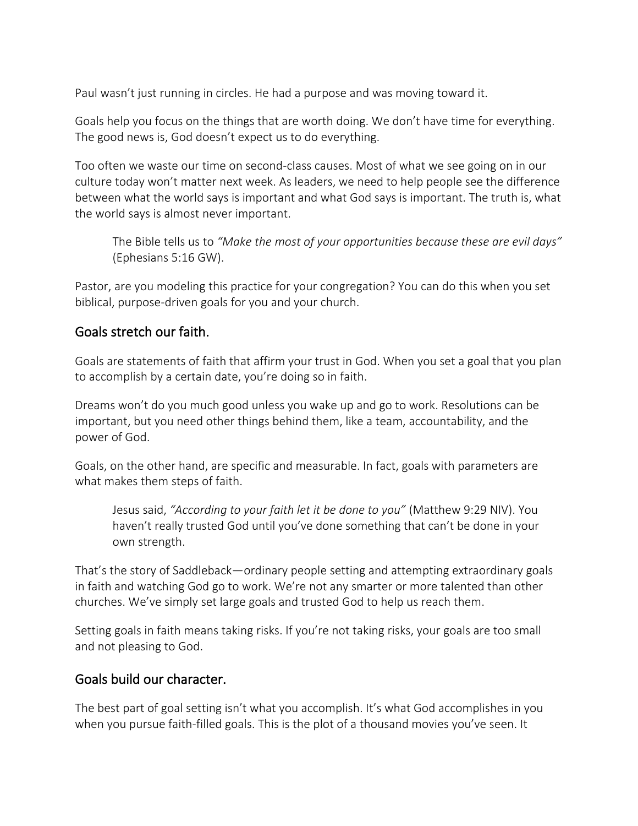Paul wasn't just running in circles. He had a purpose and was moving toward it.

Goals help you focus on the things that are worth doing. We don't have time for everything. The good news is, God doesn't expect us to do everything.

Too often we waste our time on second-class causes. Most of what we see going on in our culture today won't matter next week. As leaders, we need to help people see the difference between what the world says is important and what God says is important. The truth is, what the world says is almost never important.

The Bible tells us to *"Make the most of your opportunities because these are evil days"* (Ephesians 5:16 GW).

Pastor, are you modeling this practice for your congregation? You can do this when you set biblical, purpose-driven goals for you and your church.

#### Goals stretch our faith.

Goals are statements of faith that affirm your trust in God. When you set a goal that you plan to accomplish by a certain date, you're doing so in faith.

Dreams won't do you much good unless you wake up and go to work. Resolutions can be important, but you need other things behind them, like a team, accountability, and the power of God.

Goals, on the other hand, are specific and measurable. In fact, goals with parameters are what makes them steps of faith.

Jesus said, *"According to your faith let it be done to you"* (Matthew 9:29 NIV). You haven't really trusted God until you've done something that can't be done in your own strength.

That's the story of Saddleback—ordinary people setting and attempting extraordinary goals in faith and watching God go to work. We're not any smarter or more talented than other churches. We've simply set large goals and trusted God to help us reach them.

Setting goals in faith means taking risks. If you're not taking risks, your goals are too small and not pleasing to God.

#### Goals build our character.

The best part of goal setting isn't what you accomplish. It's what God accomplishes in you when you pursue faith-filled goals. This is the plot of a thousand movies you've seen. It